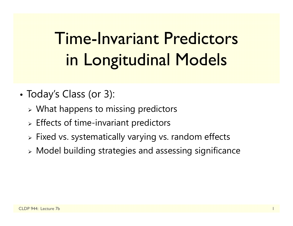# Time-Invariant Predictors in Longitudinal Models

- • Today's Class (or 3):
	- $\triangleright$  What happens to missing predictors
	- $\triangleright$  Effects of time-invariant predictors
	- Fixed vs. systematically varying vs. random effects
	- Model building strategies and assessing significance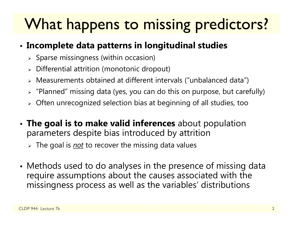# What happens to missing predictors?

### • **Incomplete data patterns in longitudinal studies**

- $\triangleright$  Sparse missingness (within occasion)
- $\triangleright$  Differential attrition (monotonic dropout)
- Measurements obtained at different intervals ("unbalanced data")
- $\triangleright$  "Planned" missing data (yes, you can do this on purpose, but carefully)
- $\triangleright$  Often unrecognized selection bias at beginning of all studies, too
- • **The goal is to make valid inferences** about population parameters despite bias introduced by attrition
	- The goal is *not* to recover the missing data values
- • Methods used to do analyses in the presence of missing data require assumptions about the causes associated with the missingness process as well as the variables' distributions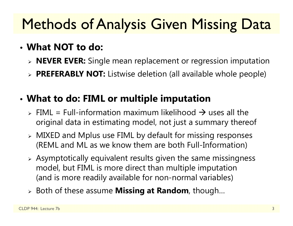# **Methods of Analysis Given Missing Data**

### • **What NOT to do:**

- **NEVER EVER:** Single mean replacement or regression imputation
- **PREFERABLY NOT:** Listwise deletion (all available whole people)

#### •**What to do: FIML or multiple imputation**

- $\triangleright$  FIML = Full-information maximum likelihood  $\rightarrow$  uses all the original data in estimating model, not just a summary thereof
- MIXED and Mplus use FIML by default for missing responses (REML and ML as we know them are both Full-Information)
- $\triangleright$  Asymptotically equivalent results given the same missingness model, but FIML is more direct than multiple imputation (and is more readily available for non-normal variables)
- Both of these assume **Missing at Random**, though…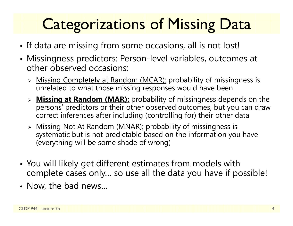# **Categorizations of Missing Data**

- •• If data are missing from some occasions, all is not lost!
- Missingness predictors: Person-level variables, outcomes at other observed occasions:
	- > Missing Completely at Random (MCAR): probability of missingness is unrelated to what those missing responses would have been
	- **Missing at Random (MAR):** probability of missingness depends on the persons' predictors or their other observed outcomes, but you can draw correct inferences after including (controlling for) their other data
	- > Missing Not At Random (MNAR): probability of missingness is systematic but is not predictable based on the information you have (everything will be some shade of wrong)
- • You will likely get different estimates from models with complete cases only… so use all the data you have if possible!
- Now, the bad news…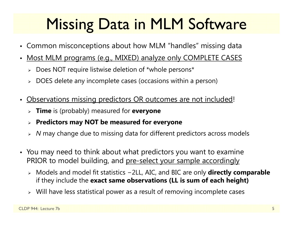# Missing Data in MLM Software

- Common misconceptions about how MLM "handles" missing data
- $\bullet$  Most MLM programs (e.g., MIXED) analyze only COMPLETE CASES
	- Does NOT require listwise deletion of \*whole persons\*
	- $\triangleright$  DOES delete any incomplete cases (occasions within a person)
- • Observations missing predictors OR outcomes are not included!
	- **Time** is (probably) measured for **everyone**
	- **Predictors may NOT be measured for everyone**
	- *N* may change due to missing data for different predictors across models
- You may need to think about what predictors you want to examine PRIOR to model building, and pre-select your sample accordingly
	- Models and model fit statistics <sup>−</sup>2LL, AIC, and BIC are only **directly comparable** if they include the **exact same observations (LL is sum of each height)**
	- Will have less statistical power as a result of removing incomplete cases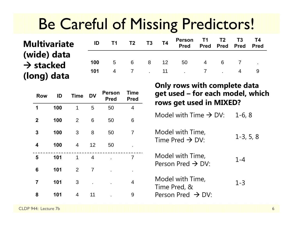## Be Careful of Missing Predictors!

### **Multivariate (wide) data**   $\rightarrow$  stacked **(long) data**

| <b>ID</b> T1 T2 T3 T4 |  | Person T1 T2 T3 T4<br>Pred Pred Pred Pred Pred |  |  |
|-----------------------|--|------------------------------------------------|--|--|
|                       |  | 100 5 6 8 12 50 4 6 7 .                        |  |  |
|                       |  | 101 4 7 . 11 . 7 . 4 9                         |  |  |

| <b>Row</b>              | ID  | <b>Time</b>    | <b>DV</b> | <b>Person</b><br><b>Pred</b> | <b>Time</b><br><b>Pred</b> |
|-------------------------|-----|----------------|-----------|------------------------------|----------------------------|
| 1                       | 100 | 1              | 5         | 50                           | $\overline{4}$             |
| $\boldsymbol{2}$        | 100 | $\overline{2}$ | 6         | 50                           | 6                          |
| 3                       | 100 | 3              | 8         | 50                           | $\overline{7}$             |
| 4                       | 100 | $\overline{4}$ | 12        | 50                           |                            |
| 5                       | 101 | 1              | 4         |                              | 7                          |
| 6                       | 101 | $\overline{2}$ | 7         |                              | ٠                          |
| $\overline{\mathbf{7}}$ | 101 | 3              |           |                              | 4                          |
| 8                       | 101 | 4              | 11        | ٠                            | 9                          |

#### **Only rows with complete data get used – for each model, which rows get used in MIXED?**

Model with Time  $\rightarrow$  DV:  $\quad$  1-6, 8  $\,$ 

Model with Time,  $1$ -3, 5, 8 Model with Time,  $1$ -3, 5, 8

1-4Model with Time, Person Pred  $\rightarrow$  DV:

1-3Model with Time,<br>Time Pred, & Person Pred  $\;\rightarrow$  DV:

CLDP 944: Lecture 7b6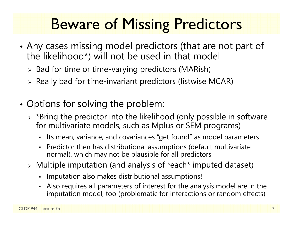# Beware of Missing Predictors

- • Any cases missing model predictors (that are not part of the likelihood\*) will not be used in that model
	- $\triangleright$  Bad for time or time-varying predictors (MARish)
	- $\triangleright$  Really bad for time-invariant predictors (listwise MCAR)
- • Options for solving the problem:
	- $\triangleright$  \*Bring the predictor into the likelihood (only possible in software for multivariate models, such as Mplus or SEM programs)
		- Its mean, variance, and covariances "get found" as model parameters
		- Predictor then has distributional assumptions (default multivariate normal), which may not be plausible for all predictors
	- Multiple imputation (and analysis of \*each\* imputed dataset)
		- Imputation also makes distributional assumptions!
		- Also requires all parameters of interest for the analysis model are in the imputation model, too (problematic for interactions or random effects)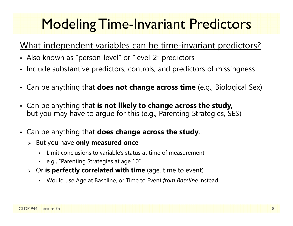## **Modeling Time-Invariant Predictors**

### What independent variables can be time-invariant predictors?

- Also known as "person-level" or "level-2" predictors
- Include substantive predictors, controls, and predictors of missingness
- Can be anything that **does not change across time** (e.g., Biological Sex)
- Can be anything that **is not likely to change across the study,**  but you may have to argue for this (e.g., Parenting Strategies, SES)
- Can be anything that **does change across the study**…
	- But you have **only measured once**
		- n Limit conclusions to variable's status at time of measurement
		- e.g., "Parenting Strategies at age 10"
	- Or **is perfectly correlated with time** (age, time to event)
		- Would use Age at Baseline, or Time to Event *from Baseline* instead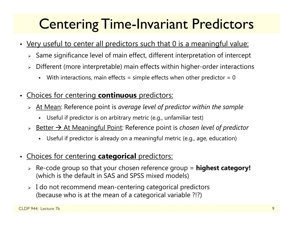## Centering Time-Invariant Predictors

- Very useful to center all predictors such that 0 is a meaningful value:
	- $\triangleright$   $\,$  Same significance level of main effect, different interpretation of intercept
	- Different (more interpretable) main effects within higher-order interactions
		- n With interactions, main effects = simple effects when other predictor =  $0$
- • Choices for centering **continuous** predictors:
	- At Mean: Reference point is *average level of predictor within the sample*
		- Useful if predictor is on arbitrary metric (e.g., unfamiliar test)
	- > Better → At Meaningful Point: Reference point is *chosen level of predictor* 
		- n Useful if predictor is already on a meaningful metric (e.g., age, education)
- Choices for centering **categorical** predictors:
	- Re-code group so that your chosen reference group = **highest category!** (which is the default in SAS and SPSS mixed models)
	- $\triangleright\;$  I do not recommend mean-centering categorical predictors (because who is at the mean of a categorical variable ?!?)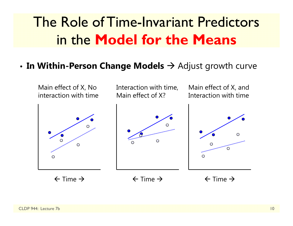## The Role of Time-Invariant Predictors in the **Model for the Means**

#### • **In Within-Person Change Models**  Adjust growth curve

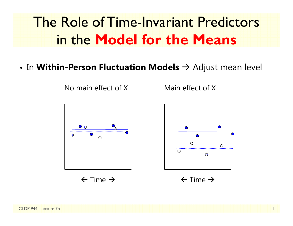## The Role of Time-Invariant Predictors in the **Model for the Means**

 $\bullet$  In **Within-Person Fluctuation Models**  $\rightarrow$  Adjust mean level

Main effect of X

⊙

No main effect of X

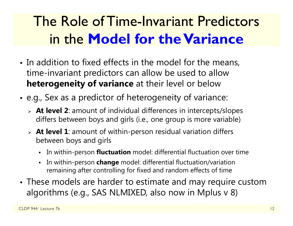## The Role of Time-Invariant Predictors in the **Model for the Variance**

- In addition to fixed effects in the model for the means, time-invariant predictors can allow be used to allow **heterogeneity of variance** at their level or below
- • e.g., Sex as a predictor of heterogeneity of variance:
	- **At level 2**: amount of individual differences in intercepts/slopes differs between boys and girls (i.e., one group is more variable)
	- **At level 1**: amount of within-person residual variation differs between boys and girls
		- In within-person **fluctuation** model: differential fluctuation over time
		- In within-person **change** model: differential fluctuation/variation remaining after controlling for fixed and random effects of time
- These models are harder to estimate and may require custom algorithms (e.g., SAS NLMIXED, also now in Mplus v 8)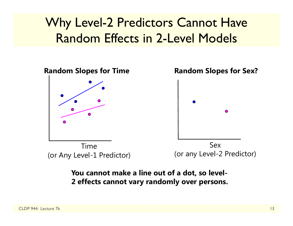### Why Level-2 Predictors Cannot Have Random Effects in 2-Level Models



#### **You cannot make a line out of a dot, so level-2 effects cannot vary randomly over persons.**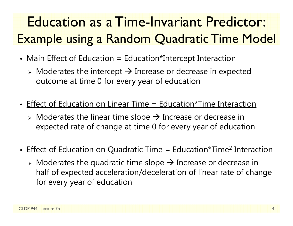## Education as a Time-Invariant Predictor: Example using a Random Quadratic Time Model

- Main Effect of Education = Education\*Intercept Interaction
	- $\triangleright$  Moderates the intercept  $\rightarrow$  Increase or decrease in expected outcome at time 0 for every year of education
- Effect of Education on Linear Time = Education\*Time Interaction
	- $\triangleright$  Moderates the linear time slope  $\rightarrow$  Increase or decrease in expected rate of change at time 0 for every year of education
- Effect of Education on Quadratic Time = Education\*Time<sup>2</sup> Interaction
	- $\triangleright$  Moderates the quadratic time slope  $\rightarrow$  Increase or decrease in half of expected acceleration/deceleration of linear rate of change for every year of education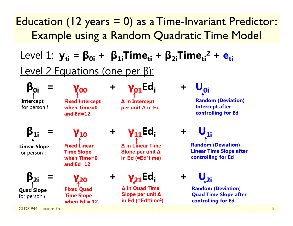### Education (12 years = 0) as a Time-Invariant Predictor: Example using a Random Quadratic Time Model

### ${\sf Level\ 1:}\ \bf{y_{ti}} = {\sf \beta_{0i}} + {\sf \beta_{1i}}$ Time $_{ti}$  +  ${\sf \beta_{2i}}$ Time $_{ti}$ <sup>2</sup> +  ${\sf e_{ti}}$ Level 2 Equations (one per β):

**Intercept** for person *i*

**β0i <sup>=</sup>**

**γ00Fixed Intercept when Time=0 and Ed=12**

**<sup>+</sup> γ01Edi +** 

**∆ in Intercept per unit ∆ in Ed**

**<sub>0i</sub> Random (Deviation) Intercept after controlling for Ed**

**β1i <sup>=</sup> Linear Slope** for person *i*

**β2i**

**Quad Slope** for person *i*

**γ10**

**Fixed Linear Time Slope when Time=0 and Ed=12**

**γ20 <sup>+</sup> Fixed Quad Time Slope when Ed = 12**

**<sup>+</sup> γ11Edi +** 

**∆ in Linear Time Slope per unit ∆in Ed (=Ed\*time)**

### **γ**<sub>21</sub>**Ed**:

**∆ in Quad Time Slope per unit ∆ in Ed (=Ed\*time 2)**  $$ 

**Random (Deviation) Linear Time Slope after controlling for Ed**

 $U_{2i}$ 

**Random (Deviation**) **Quad Time Slope after controlling for Ed**

CLDP 944: Lecture 7b

**<sup>=</sup>**

15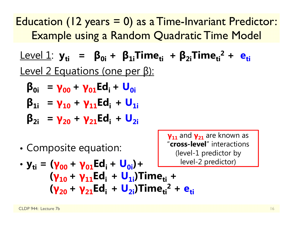Education (12 years = 0) as a Time-Invariant Predictor: Example using a Random Quadratic Time Model

Level 1: **yti <sup>=</sup> β0i <sup>+</sup> β1iTimeti <sup>+</sup> β2iTimeti2 + eti**Level 2 Equations (one per β):

$$
\beta_{0i} = \gamma_{00} + \gamma_{01} Ed_i + U_{0i}
$$

$$
\beta_{1i} = \gamma_{10} + \gamma_{11} Ed_i + U_{1i}
$$

$$
\beta_{2i} = \gamma_{20} + \gamma_{21} Ed_i + U_{2i}
$$

•Composite equation:

**γ11** and **γ21** are known as "**cross-level**" interactions (level-1 predictor by -2 predictor)

• 
$$
y_{ti} = (\gamma_{00} + \gamma_{01} Ed_i + U_{0i}) +
$$
  
\n $(\gamma_{10} + \gamma_{11} Ed_i + U_{1i})Time_{ti} +$   
\n $(\gamma_{20} + \gamma_{21} Ed_i + U_{2i})Time_{ti}^2 + e_{ti}$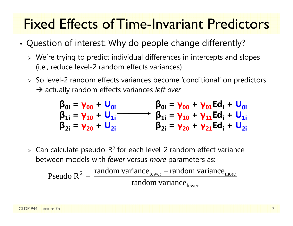## Fixed Effects of Time-Invariant Predictors

- •• Question of interest: Why do people change differently?
	- $\triangleright$  We're trying to predict individual differences in intercepts and slopes (i.e., reduce level-2 random effects variances)
	- So level-2 random effects variances become 'conditional' on predictors → actually random effects variances *left over*

$$
\begin{matrix}\n\beta_{0i} = \gamma_{00} + U_{0i} & \beta_{0i} = \gamma_{00} + \gamma_{01} Ed_{i} + U_{0i} \\
\beta_{1i} = \gamma_{10} + U_{1i} & \beta_{1i} = \gamma_{10} + \gamma_{11} Ed_{i} + U_{1i} \\
\beta_{2i} = \gamma_{20} + U_{2i} & \beta_{2i} = \gamma_{20} + \gamma_{21} Ed_{i} + U_{2i}\n\end{matrix}
$$

 $\triangleright$  Can calculate pseudo-R<sup>2</sup> for each level-2 random effect variance between models with *fewer* versus *more* parameters as:

Pseudo R<sup>2</sup> = 
$$
\frac{\text{random variance}_{\text{fewer}} - \text{random variance}_{\text{move}}}{\text{random variance}_{\text{fewer}}}
$$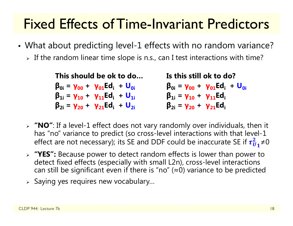## Fixed Effects of Time-Invariant Predictors

- • What about predicting level-1 effects with no random variance?
	- $\triangleright$  If the random linear time slope is n.s., can I test interactions with time?

| This should be ok to do                                 | Is this still ok to do?                                |
|---------------------------------------------------------|--------------------------------------------------------|
| $\beta_{0i} = \gamma_{00} + \gamma_{01} E d_i + U_{0i}$ | $\beta_{0i} = \gamma_{00} + \gamma_{01} Ed_i + U_{0i}$ |
| $\beta_{1i} = \gamma_{10} + \gamma_{11} Ed_i + U_{1i}$  | $\beta_{1i} = \gamma_{10} + \gamma_{11} Ed_i$          |
| $\beta_{2i} = \gamma_{20} + \gamma_{21} Ed_i + U_{2i}$  | $\beta_{2i} = \gamma_{20} + \gamma_{21} Ed_i$          |

- **"NO"**: If a level-1 effect does not vary randomly over individuals, then it has "no" variance to predict (so cross-level interactions with that level-1 effect are not necessary); its SE and DDF could be inaccurate SE if  $\tau_U^2$  $\frac{2}{u_1} \neq 0$
- **"YES":** Because power to detect random effects is lower than power to detect fixed effects (especially with small L2n), cross-level interactions can still be significant even if there is "no" ( <sup>≈</sup>0) variance to be predicted
- $\triangleright$  Saying yes requires new vocabulary...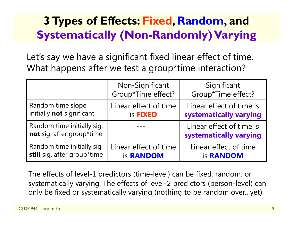### **3 Types of Effects: Fixed, Random, and Systematically (Non-Randomly) Varying**

Let's say we have a significant fixed linear effect of time. What happens after we test a group\*time interaction?

|                                                         | Non-Significant<br>Group*Time effect? | Significant<br>Group*Time effect?                  |  |
|---------------------------------------------------------|---------------------------------------|----------------------------------------------------|--|
| Random time slope                                       | Linear effect of time                 | Linear effect of time is                           |  |
| initially not significant                               | is <b>FIXED</b>                       | systematically varying                             |  |
| Random time initially sig,<br>not sig. after group*time |                                       | Linear effect of time is<br>systematically varying |  |
| Random time initially sig,                              | Linear effect of time                 | Linear effect of time                              |  |
| still sig. after group*time                             | is <b>RANDOM</b>                      | is <b>RANDOM</b>                                   |  |

The effects of level-1 predictors (time-level) can be fixed, random, or systematically varying. The effects of level-2 predictors (person-level) can only be fixed or systematically varying (nothing to be random over…yet).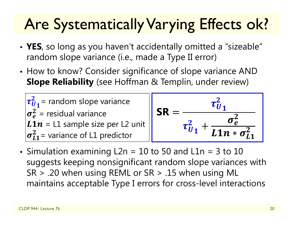# Are Systematically Varying Effects ok?

- **YES**, so long as you haven't accidentally omitted a "sizeable" random slope variance (i.e., made a Type II error)
- •• How to know? Consider significance of slope variance AND **Slope Reliability** (see Hoffman & Templin, under review)



• Simulation examining L2n = 10 to 50 and L1n = 3 to 10 suggests keeping nonsignificant random slope variances with SR > .20 when using REML or SR > .15 when using ML maintains acceptable Type I errors for cross-level interactions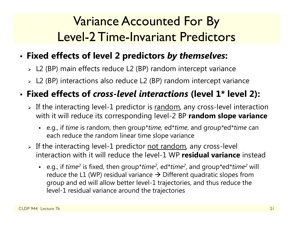### Variance Accounted For By Level-2 Time-Invariant Predictors

#### •**Fixed effects of level 2 predictors** *by themselves***:**

- L2 (BP) main effects reduce L2 (BP) random intercept variance
- L2 (BP) interactions also reduce L2 (BP) random intercept variance

### • **Fixed effects of** *cross-level interactions* **(level 1\* level 2):**

- $\triangleright$  If the interacting level-1 predictor is  $\mathrm{random}$ , any cross-level interaction with it will reduce its corresponding level-2 BP **random slope variance**
	- e.g., if *time* is random, then group\**time,* ed\**time*, and group\*ed\**time* can each reduce the random linear time slope variance
- > If the interacting level-1 predictor <u>not random</u>, any cross-level interaction with it will reduce the level-1 WP **residual variance** instead
	- e.g., if *time<sup>2</sup>* is fixed, then group\**time<sup>2</sup>,* ed\**time<sup>2</sup>*, and group\*ed\**time<sup>2</sup>* will reduce the L1 (WP) residual variance  $\rightarrow$  Different quadratic slopes from group and ed will allow better level-1 trajectories, and thus reduce the level-1 residual variance around the trajectories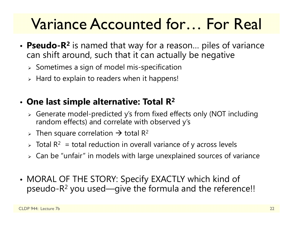# Variance Accounted for… For Real

- **Pseudo-R 2** is named that way for a reason… piles of variance can shift around, such that it can actually be negative
	- $\triangleright$  Sometimes a sign of model mis-specification
	- $\triangleright$  Hard to explain to readers when it happens!

### • **One last simple alternative: Total R 2**

- Generate model-predicted y's from fixed effects only (NOT including random effects) and correlate with observed y's
- > Then square correlation  $\rightarrow$  total R<sup>2</sup>
- $\triangleright$  Total R $^2\,$  = total reduction in overall variance of y across levels
- $\triangleright\;$  Can be "unfair" in models with large unexplained sources of variance
- • MORAL OF THE STORY: Specify EXACTLY which kind of pseudo-R $^2$  you used—give the formula and the reference!!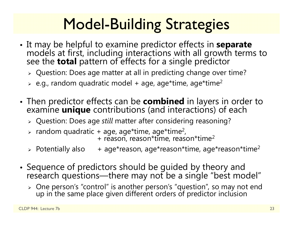# Model-Building Strategies

- It may be helpful to examine predictor effects in separate It may be helpful to examine predictor effects in **separate** models at first, including interactions with all growth terms to see the **total** pattern of effects for a single predictor
	- $\triangleright$  Question: Does age matter at all in predicting change over time?
	- $\triangleright$  e.g., random quadratic model + age, age\*time, age\*time $^2$
- • Then predictor effects can be **combined** in layers in order to examine **unique** contributions (and interactions) of each
	- Question: Does age *still* matter after considering reasoning?
	- $\triangleright$  random quadratic + age, age\*time, age\*time<sup>2</sup>,  $+$  reason, reason\*time, reason\*time<sup>2</sup>
	- $\triangleright$  Potentially also  $\triangleright$  Potentially also  $\quad$  + age\*reason, age\*reason\*time, age\*reason\*time $^2$
- Sequence of predictors should be guided by theory and research questions—there may not be a single "best model"
	- > One person's "control" is another person's "question", so may not end up in the same place given different orders of predictor inclusion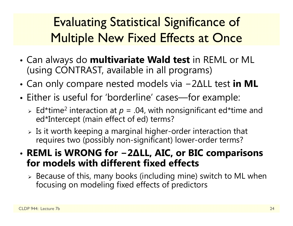## Evaluating Statistical Significance of Multiple New Fixed Effects at Once

- • Can always do **multivariate Wald test** in REML or ML (using CONTRAST, available in all programs)
- • Can only compare nested models via 2 ∆LL test **in ML**
- • Either is useful for 'borderline' cases—for example:
	- $\triangleright$  Ed\*time<sup>2</sup> interaction at  $p = .04$ , with nonsignificant ed\*time and ed\*Intercept (main effect of ed) terms?
	- $\triangleright$  Is it worth keeping a marginal higher-order interaction that requires two (possibly non-significant) lower-order terms?
- **REML is WRONG for − 2 ∆LL, AIC, or BIC comparisons for models with different fixed effects**
	- $\triangleright$  Because of this, many books (including mine) switch to ML when focusing on modeling fixed effects of predictors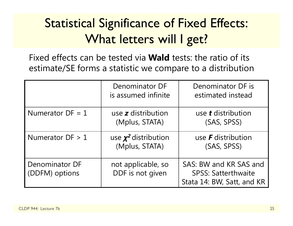## **Statistical Significance of Fixed Effects:** What letters will I get?

Fixed effects can be tested via **Wald** tests: the ratio of its estimate/SE forms a statistic we compare to a distribution

|                                  | Denominator DF<br>is assumed infinite       | Denominator DF is<br>estimated instead                                             |
|----------------------------------|---------------------------------------------|------------------------------------------------------------------------------------|
| Numerator $DF = 1$               | use $z$ distribution<br>(Mplus, STATA)      | use <b>t</b> distribution<br>(SAS, SPSS)                                           |
| Numerator $DF > 1$               | use $\chi^2$ distribution<br>(Mplus, STATA) | use $\bm{F}$ distribution<br>(SAS, SPSS)                                           |
| Denominator DF<br>(DDFM) options | not applicable, so<br>DDF is not given      | SAS: BW and KR SAS and<br><b>SPSS: Satterthwaite</b><br>Stata 14: BW, Satt, and KR |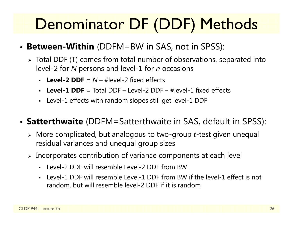# Denominator DF (DDF) Methods

- **Between-Within** (DDFM=BW in SAS, not in SPSS):
	- $\triangleright$  Total DDF (T) comes from total number of observations, separated into level-2 for *N* persons and level-1 for *n* occasions
		- **Level-2 DDF** = *N* – #level-2 fixed effects
		- **Level-1 DDF** = Total DDF – Level-2 DDF – #level-1 fixed effects
		- Level-1 effects with random slopes still get level-1 DDF

#### • **Satterthwaite** (DDFM=Satterthwaite in SAS, default in SPSS):

- More complicated, but analogous to two-group *<sup>t</sup>*-test given unequal residual variances and unequal group sizes
- $\triangleright$  Incorporates contribution of variance components at each level
	- Level-2 DDF will resemble Level-2 DDF from BW
	- Level-1 DDF will resemble Level-1 DDF from BW if the level-1 effect is not random, but will resemble level-2 DDF if it is random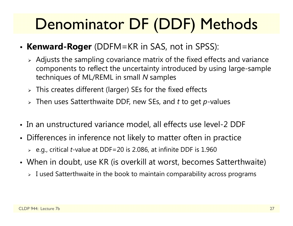# Denominator DF (DDF) Methods

- **Kenward-Roger** (DDFM=KR in SAS, not in SPSS):
	- $\triangleright$  Adjusts the sampling covariance matrix of the fixed effects and variance components to reflect the uncertainty introduced by using large-sample techniques of ML/REML in small *N* samples
	- $\triangleright$  This creates different (larger) SEs for the fixed effects
	- Then uses Satterthwaite DDF, new SEs, and *t* to get *p*-values
- In an unstructured variance model, all effects use level-2 DDF
- Differences in inference not likely to matter often in practice
	- e.g., critical *t*-value at DDF=20 is 2.086, at infinite DDF is 1.960
- When in doubt, use KR (is overkill at worst, becomes Satterthwaite)
	- $\triangleright$  I used Satterthwaite in the book to maintain comparability across programs